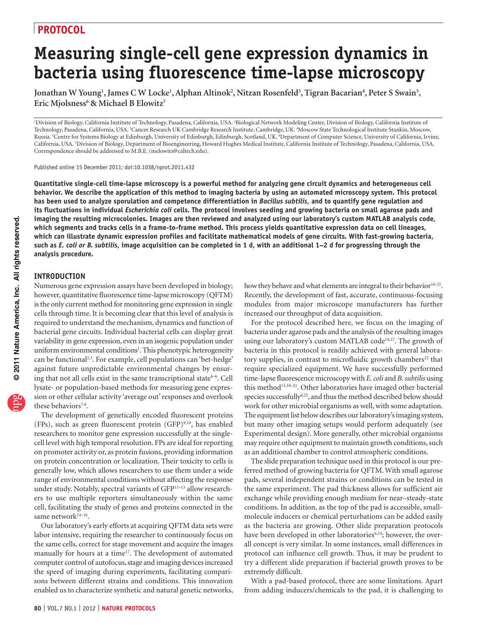# **Measuring single-cell gene expression dynamics in bacteria using fluorescence time-lapse microscopy**

Jonathan W Young<sup>1</sup>, James C W Locke<sup>1</sup>, Alphan Altinok<sup>2</sup>, Nitzan Rosenfeld<sup>3</sup>, Tigran Bacarian<sup>4</sup>, Peter S Swain<sup>5</sup>, **Eric Mjolsness6 & Michael B Elowitz7**

1 Division of Biology, California Institute of Technology, Pasadena, California, USA. 2 Biological Network Modeling Center, Division of Biology, California Institute of Technology, Pasadena, California, USA. <sup>3</sup>Cancer Research UK Cambridge Research Institute, Cambridge, UK. <sup>4</sup>Moscow State Technological Institute Stankin, Moscow, Russia. <sup>5</sup>Centre for Systems Biology at Edinburgh, University of Edinburgh, Edinburgh, Scotland, UK. <sup>6</sup>Department of Computer Science, University of California, Irvine, California, USA. 7 Division of Biology, Department of Bioengineering, Howard Hughes Medical Institute, California Institute of Technology, Pasadena, California, USA. Correspondence should be addressed to M.B.E. (melowitz@caltech.edu).

Published online 15 December 2011; doi:10.1038/nprot.2011.432

**Quantitative single-cell time-lapse microscopy is a powerful method for analyzing gene circuit dynamics and heterogeneous cell behavior. We describe the application of this method to imaging bacteria by using an automated microscopy system. This protocol has been used to analyze sporulation and competence differentiation in** *Bacillus subtilis***, and to quantify gene regulation and its fluctuations in individual** *Escherichia coli* **cells. The protocol involves seeding and growing bacteria on small agarose pads and imaging the resulting microcolonies. Images are then reviewed and analyzed using our laboratory's custom MATLAB analysis code, which segments and tracks cells in a frame-to-frame method. This process yields quantitative expression data on cell lineages, which can illustrate dynamic expression profiles and facilitate mathematical models of gene circuits. With fast-growing bacteria, such as** *E. coli or B. subtilis***, image acquisition can be completed in 1 d, with an additional 1–2 d for progressing through the analysis procedure.**

#### **INTRODUCTION**

Numerous gene expression assays have been developed in biology; however, quantitative fluorescence time-lapse microscopy (QFTM) is the only current method for monitoring gene expression in single cells through time. It is becoming clear that this level of analysis is required to understand the mechanism, dynamics and function of bacterial gene circuits. Individual bacterial cells can display great variability in gene expression, even in an isogenic population under uniform environmental conditions<sup>1</sup>. This phenotypic heterogeneity can be functional<sup>2,3</sup>. For example, cell populations can 'bet-hedge' against future unpredictable environmental changes by ensuring that not all cells exist in the same transcriptional state<sup>4-6</sup>. Cell lysate- or population-based methods for measuring gene expression or other cellular activity 'average out' responses and overlook these behaviors<sup>[7,8](#page-7-3)</sup>.

The development of genetically encoded fluorescent proteins (FPs), such as green fluorescent protein (GFP[\)9,10](#page-7-4) , has enabled researchers to monitor gene expression successfully at the singlecell level with high temporal resolution. FPs are ideal for reporting on promoter activity or, as protein fusions, providing information on protein concentration or localization. Their toxicity to cells is generally low, which allows researchers to use them under a wide range of environmental conditions without affecting the response under study. Notably, spectral variants of GFP<sup>11-13</sup> allow researchers to use multiple reporters simultaneously within the same cell, facilitating the study of genes and proteins connected in the same network<sup>[14–16](#page-7-6)</sup>.

Our laboratory's early efforts at acquiring QFTM data sets were labor intensive, requiring the researcher to continuously focus on the same cells, correct for stage movement and acquire the images manually for hours at a time<sup>[17](#page-8-0)</sup>. The development of automated computer control of autofocus, stage and imaging devices increased the speed of imaging during experiments, facilitating comparisons between different strains and conditions. This innovation enabled us to characterize synthetic and natural genetic networks,

how they behave and what elements are integral to their behavior<sup>14-21</sup>. Recently, the development of fast, accurate, continuous-focusing modules from major microscope manufacturers has further increased our throughput of data acquisition.

For the protocol described here, we focus on the imaging of bacteria under agarose pads and the analysis of the resulting images using our laboratory's custom MATLAB code<sup>14,17</sup>. The growth of bacteria in this protocol is readily achieved with general laboratory supplies, in contrast to microfluidic growth chambers<sup>22</sup> that require specialized equipment. We have successfully performed time-lapse fluorescence microscopy with *E. coli* and *B. subtilis* using this method<sup>15,18-21</sup>. Other laboratories have imaged other bacterial species successfully<sup>6,23</sup>, and thus the method described below should work for other microbial organisms as well, with some adaptation. The equipment list below describes our laboratory's imaging system, but many other imaging setups would perform adequately (see Experimental design). More generally, other microbial organisms may require other equipment to maintain growth conditions, such as an additional chamber to control atmospheric conditions.

The slide preparation technique used in this protocol is our preferred method of growing bacteria for QFTM. With small agarose pads, several independent strains or conditions can be tested in the same experiment. The pad thickness allows for sufficient air exchange while providing enough medium for near–steady-state conditions. In addition, as the top of the pad is accessible, smallmolecule inducers or chemical perturbations can be added easily as the bacteria are growing. Other slide preparation protocols have been developed in other laboratories<sup>6,24</sup>; however, the overall concept is very similar. In some instances, small differences in protocol can influence cell growth. Thus, it may be prudent to try a different slide preparation if bacterial growth proves to be extremely difficult.

With a pad-based protocol, there are some limitations. Apart from adding inducers/chemicals to the pad, it is challenging to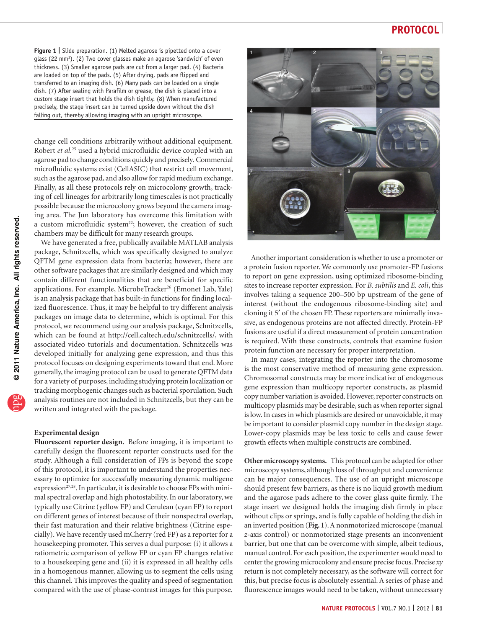<span id="page-1-0"></span>**Figure 1 |** Slide preparation. (1) Melted agarose is pipetted onto a cover glass (22 mm2 ). (2) Two cover glasses make an agarose 'sandwich' of even thickness. (3) Smaller agarose pads are cut from a larger pad. (4) Bacteria are loaded on top of the pads. (5) After drying, pads are flipped and transferred to an imaging dish. (6) Many pads can be loaded on a single dish. (7) After sealing with Parafilm or grease, the dish is placed into a custom stage insert that holds the dish tightly. (8) When manufactured precisely, the stage insert can be turned upside down without the dish falling out, thereby allowing imaging with an upright microscope.

change cell conditions arbitrarily without additional equipment. Robert et al.<sup>[25](#page-8-2)</sup> used a hybrid microfluidic device coupled with an agarose pad to change conditions quickly and precisely. Commercial microfluidic systems exist (CellASIC) that restrict cell movement, such as the agarose pad, and also allow for rapid medium exchange. Finally, as all these protocols rely on microcolony growth, tracking of cell lineages for arbitrarily long timescales is not practically possible because the microcolony grows beyond the camera imaging area. The Jun laboratory has overcome this limitation with a custom microfluidic system<sup>22</sup>; however, the creation of such chambers may be difficult for many research groups.

We have generated a free, publically available MATLAB analysis package, Schnitzcells, which was specifically designed to analyze QFTM gene expression data from bacteria; however, there are other software packages that are similarly designed and which may contain different functionalities that are beneficial for specific applications. For example, MicrobeTracker<sup>[26](#page-8-4)</sup> (Emonet Lab, Yale) is an analysis package that has built-in functions for finding localized fluorescence. Thus, it may be helpful to try different analysis packages on image data to determine, which is optimal. For this protocol, we recommend using our analysis package, Schnitzcells, which can be found at http://cell.caltech.edu/schnitzcells/, with associated video tutorials and documentation. Schnitzcells was developed initially for analyzing gene expression, and thus this protocol focuses on designing experiments toward that end. More generally, the imaging protocol can be used to generate QFTM data for a variety of purposes, including studying protein localization or tracking morphogenic changes such as bacterial sporulation. Such analysis routines are not included in Schnitzcells, but they can be written and integrated with the package.

#### **Experimental design**

**Fluorescent reporter design.** Before imaging, it is important to carefully design the fluorescent reporter constructs used for the study. Although a full consideration of FPs is beyond the scope of this protocol, it is important to understand the properties necessary to optimize for successfully measuring dynamic multigene expression<sup>27,28</sup>. In particular, it is desirable to choose FPs with minimal spectral overlap and high photostability. In our laboratory, we typically use Citrine (yellow FP) and Cerulean (cyan FP) to report on different genes of interest because of their nonspectral overlap, their fast maturation and their relative brightness (Citrine especially). We have recently used mCherry (red FP) as a reporter for a housekeeping promoter. This serves a dual purpose: (i) it allows a ratiometric comparison of yellow FP or cyan FP changes relative to a housekeeping gene and (ii) it is expressed in all healthy cells in a homogenous manner, allowing us to segment the cells using this channel. This improves the quality and speed of segmentation compared with the use of phase-contrast images for this purpose.



Another important consideration is whether to use a promoter or a protein fusion reporter. We commonly use promoter-FP fusions to report on gene expression, using optimized ribosome-binding sites to increase reporter expression. For *B. subtilis* and *E. coli*, this involves taking a sequence 200–500 bp upstream of the gene of interest (without the endogenous ribosome-binding site) and cloning it 5′ of the chosen FP. These reporters are minimally invasive, as endogenous proteins are not affected directly. Protein-FP fusions are useful if a direct measurement of protein concentration is required. With these constructs, controls that examine fusion protein function are necessary for proper interpretation.

In many cases, integrating the reporter into the chromosome is the most conservative method of measuring gene expression. Chromosomal constructs may be more indicative of endogenous gene expression than multicopy reporter constructs, as plasmid copy number variation is avoided. However, reporter constructs on multicopy plasmids may be desirable, such as when reporter signal is low. In cases in which plasmids are desired or unavoidable, it may be important to consider plasmid copy number in the design stage. Lower-copy plasmids may be less toxic to cells and cause fewer growth effects when multiple constructs are combined.

**Other microscopy systems.** This protocol can be adapted for other microscopy systems, although loss of throughput and convenience can be major consequences. The use of an upright microscope should present few barriers, as there is no liquid growth medium and the agarose pads adhere to the cover glass quite firmly. The stage insert we designed holds the imaging dish firmly in place without clips or springs, and is fully capable of holding the dish in an inverted position (**[Fig. 1](#page-1-0)**). A nonmotorized microscope (manual *z*-axis control) or nonmotorized stage presents an inconvenient barrier, but one that can be overcome with simple, albeit tedious, manual control. For each position, the experimenter would need to center the growing microcolony and ensure precise focus. Precise *xy* return is not completely necessary, as the software will correct for this, but precise focus is absolutely essential. A series of phase and fluorescence images would need to be taken, without unnecessary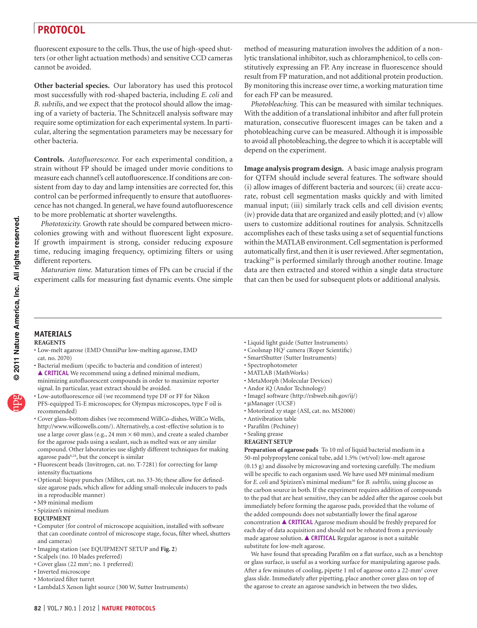fluorescent exposure to the cells. Thus, the use of high-speed shutters (or other light actuation methods) and sensitive CCD cameras cannot be avoided.

**Other bacterial species.** Our laboratory has used this protocol most successfully with rod-shaped bacteria, including *E. coli* and *B. subtilis*, and we expect that the protocol should allow the imaging of a variety of bacteria. The Schnitzcell analysis software may require some optimization for each experimental system. In particular, altering the segmentation parameters may be necessary for other bacteria.

**Controls.** *Autofluorescence*. For each experimental condition, a strain without FP should be imaged under movie conditions to measure each channel's cell autofluorescence. If conditions are consistent from day to day and lamp intensities are corrected for, this control can be performed infrequently to ensure that autofluorescence has not changed. In general, we have found autofluorescence to be more problematic at shorter wavelengths.

*Phototoxicity.* Growth rate should be compared between microcolonies growing with and without fluorescent light exposure. If growth impairment is strong, consider reducing exposure time, reducing imaging frequency, optimizing filters or using different reporters.

*Maturation time.* Maturation times of FPs can be crucial if the experiment calls for measuring fast dynamic events. One simple method of measuring maturation involves the addition of a nonlytic translational inhibitor, such as chloramphenicol, to cells constitutively expressing an FP. Any increase in fluorescence should result from FP maturation, and not additional protein production. By monitoring this increase over time, a working maturation time for each FP can be measured.

*Photobleaching.* This can be measured with similar techniques. With the addition of a translational inhibitor and after full protein maturation, consecutive fluorescent images can be taken and a photobleaching curve can be measured. Although it is impossible to avoid all photobleaching, the degree to which it is acceptable will depend on the experiment.

**Image analysis program design.** A basic image analysis program for QTFM should include several features. The software should (i) allow images of different bacteria and sources; (ii) create accurate, robust cell segmentation masks quickly and with limited manual input; (iii) similarly track cells and cell division events; (iv) provide data that are organized and easily plotted; and (v) allow users to customize additional routines for analysis. Schnitzcells accomplishes each of these tasks using a set of sequential functions within the MATLAB environment. Cell segmentation is performed automatically first, and then it is user reviewed. After segmentation, tracking<sup>[2](#page-8-4)9</sup> is performed similarly through another routine. Image data are then extracted and stored within a single data structure that can then be used for subsequent plots or additional analysis.

### **MATERIALS**

- **REAGENTS**
- Low-melt agarose (EMD OmniPur low-melting agarose, EMD cat. no. 2070)
- Bacterial medium (specific to bacteria and condition of interest) **CRITICAL** We recommend using a defined minimal medium,
- minimizing autofluorescent compounds in order to maximize reporter signal. In particular, yeast extract should be avoided.
- Low-autofluorescence oil (we recommend type DF or FF for Nikon PFS-equipped Ti-E microscopes; for Olympus microscopes, type F oil is recommended)
- Cover glass–bottom dishes (we recommend WillCo-dishes, WillCo Wells, http://www.willcowells.com/). Alternatively, a cost-effective solution is to use a large cover glass (e.g., 24 mm  $\times$  60 mm), and create a sealed chamber for the agarose pads using a sealant, such as melted wax or any similar compound. Other laboratories use slightly different techniques for making agarose pads<sup>6,24</sup>, but the concept is similar
- Fluorescent beads (Invitrogen, cat. no. T-7281) for correcting for lamp intensity fluctuations
- Optional: biopsy punches (Miltex, cat. no. 33-36; these allow for defined-• size agarose pads, which allow for adding small-molecule inducers to pads in a reproducible manner)
- M9 minimal medium •
- Spizizen's minimal medium •

#### **EQUIPMENT**

- Computer (for control of microscope acquisition, installed with software that can coordinate control of microscope stage, focus, filter wheel, shutters and cameras)
- $\cdot$  Imaging station (see EQUIPMENT SETUP and [Fig. 2](#page-3-0))
- Scalpels (no. 10 blades preferred)
- Cover glass (22 mm<sup>2</sup>; no. 1 preferred)
- Inverted microscope
- Motorized filter turret •
- LambdaLS Xenon light source (300 W, Sutter Instruments) •
- Liquid light guide (Sutter Instruments) •
- Coolsnap HQ<sup>2</sup> camera (Roper Scientific)
- SmartShutter (Sutter Instruments) •
- Spectrophotometer •
- MATLAB (MathWorks) •
- MetaMorph (Molecular Devices)
- Andor iQ (Andor Technology) •
- ImageJ software (http://rsbweb.nih.gov/ij/) •
- µManager (UCSF) •
- Motorized *xy* stage (ASI, cat. no. MS2000) •
- Antivibration table •
- Parafilm (Pechiney) •
- Sealing grease

#### **REAGENT SETUP**

**Preparation of agarose pads** To 10 ml of liquid bacterial medium in a 50-ml polypropylene conical tube, add 1.5% (wt/vol) low-melt agarose (0.15 g) and dissolve by microwaving and vortexing carefully. The medium will be specific to each organism used. We have used M9 minimal medium for *E. coli* and Spizizen's minimal medium<sup>30</sup> for *B. subtilis*, using glucose as the carbon source in both. If the experiment requires addition of compounds to the pad that are heat sensitive, they can be added after the agarose cools but immediately before forming the agarose pads, provided that the volume of the added compounds does not substantially lower the final agarose concentration  $\blacktriangle$  <code>CRITICAL</code> Agarose medium should be freshly prepared for each day of data acquisition and should not be reheated from a previously made agarose solution. **CRITICAL** Regular agarose is not a suitable substitute for low-melt agarose.

We have found that spreading Parafilm on a flat surface, such as a benchtop or glass surface, is useful as a working surface for manipulating agarose pads. After a few minutes of cooling, pipette 1 ml of agarose onto a 22-mm<sup>2</sup> cover glass slide. Immediately after pipetting, place another cover glass on top of the agarose to create an agarose sandwich in between the two slides,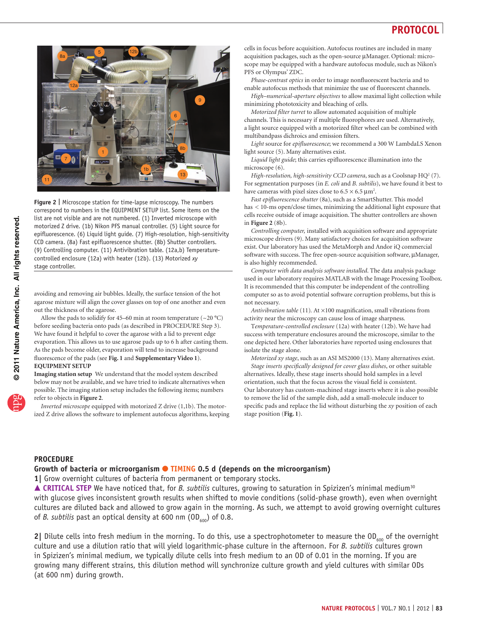

**Figure 2 |** Microscope station for time-lapse microscopy. The numbers correspond to numbers in the EQUIPMENT SETUP list. Some items on the list are not visible and are not numbered. (1) Inverted microscope with motorized Z drive. (1b) Nikon PFS manual controller. (5) Light source for epifluorescence. (6) Liquid light guide. (7) High-resolution, high-sensitivity CCD camera. (8a) Fast epifluorescence shutter. (8b) Shutter controllers. (9) Controlling computer. (11) Antivibration table. (12a,b) Temperaturecontrolled enclosure (12a) with heater (12b). (13) Motorized *xy* stage controller.

<span id="page-3-0"></span>avoiding and removing air bubbles. Ideally, the surface tension of the hot agarose mixture will align the cover glasses on top of one another and even out the thickness of the agarose.

Allow the pads to solidify for 45–60 min at room temperature  $(\sim 20 \degree C)$ before seeding bacteria onto pads (as described in PROCEDURE Step 3). We have found it helpful to cover the agarose with a lid to prevent edge evaporation. This allows us to use agarose pads up to 6 h after casting them. As the pads become older, evaporation will tend to increase background fluorescence of the pads (see **[Fig. 1](#page-1-0)** and **Supplementary Video 1**). **EQUIPMENT SETUP**

**Imaging station setup** We understand that the model system described below may not be available, and we have tried to indicate alternatives when possible. The imaging station setup includes the following items; numbers refer to objects in **[Figure 2](#page-3-0)**.

*Inverted microscope* equipped with motorized Z drive (1,1b). The motorized Z drive allows the software to implement autofocus algorithms, keeping cells in focus before acquisition. Autofocus routines are included in many acquisition packages, such as the open-source µManager. Optional: microscope may be equipped with a hardware autofocus module, such as Nikon's PFS or Olympus' ZDC.

*Phase-contrast optics* in order to image nonfluorescent bacteria and to enable autofocus methods that minimize the use of fluorescent channels.

*High–numerical-aperture objectives* to allow maximal light collection while minimizing phototoxicity and bleaching of cells.

*Motorized filter turret* to allow automated acquisition of multiple channels. This is necessary if multiple fluorophores are used. Alternatively, a light source equipped with a motorized filter wheel can be combined with multibandpass dichroics and emission filters.

*Light* source for *epifluorescence*; we recommend a 300 W LambdaLS Xenon light source (5). Many alternatives exist.

*Liquid light guide*; this carries epifluorescence illumination into the microscope  $(6)$ .

High-resolution, high-sensitivity CCD camera, such as a Coolsnap HQ<sup>2</sup> (7). For segmentation purposes (in *E. coli* and *B. subtilis*), we have found it best to have cameras with pixel sizes close to  $6.5 \times 6.5 \,\mathrm{\mu m^2}$ .

*Fast epifluorescence shutter* (8a), such as a SmartShutter. This model has < 10-ms open/close times, minimizing the additional light exposure that cells receive outside of image acquisition. The shutter controllers are shown in **[Figure 2](#page-3-0)** (8b).

*Controlling computer,* installed with acquisition software and appropriate microscope drivers (9). Many satisfactory choices for acquisition software exist. Our laboratory has used the MetaMorph and Andor iQ commercial software with success. The free open-source acquisition software, µManager, is also highly recommended.

*Computer with data analysis software installed*. The data analysis package used in our laboratory requires MATLAB with the Image Processing Toolbox. It is recommended that this computer be independent of the controlling computer so as to avoid potential software corruption problems, but this is not necessary.

*Antivibration table* (11)*.* At ×100 magnification, small vibrations from activity near the microscopy can cause loss of image sharpness.

T*emperature-controlled enclosure* (12a) with heater (12b). We have had success with temperature enclosures around the microscope, similar to the one depicted here. Other laboratories have reported using enclosures that isolate the stage alone.

*Motorized xy stage*, such as an ASI MS2000 (13). Many alternatives exist. *Stage inserts specifically designed for cover glass dishes*, or other suitable alternatives. Ideally, these stage inserts should hold samples in a level orientation, such that the focus across the visual field is consistent. Our laboratory has custom-machined stage inserts where it is also possible to remove the lid of the sample dish, add a small-molecule inducer to specific pads and replace the lid without disturbing the *xy* position of each stage position (**[Fig. 1](#page-1-0)**).

#### **PROCEDURE**

**Growth of bacteria or microorganism** ● **TIMING 0.5 d (depends on the microorganism)**

**1|** Grow overnight cultures of bacteria from permanent or temporary stocks.

 **CRITICAL STEP** We have noticed that, for *B. subtilis* cultures, growing to saturation in Spizizen's minimal medium30 with glucose gives inconsistent growth results when shifted to movie conditions (solid-phase growth), even when overnight cultures are diluted back and allowed to grow again in the morning. As such, we attempt to avoid growing overnight cultures of *B. subtilis* past an optical density at 600 nm  $(OD<sub>600</sub>)$  of 0.8.

**2** Dilute cells into fresh medium in the morning. To do this, use a spectrophotometer to measure the OD<sub>600</sub> of the overnight culture and use a dilution ratio that will yield logarithmic-phase culture in the afternoon. For *B. subtilis* cultures grown in Spizizen's minimal medium, we typically dilute cells into fresh medium to an OD of 0.01 in the morning. If you are growing many different strains, this dilution method will synchronize culture growth and yield cultures with similar ODs (at 600 nm) during growth.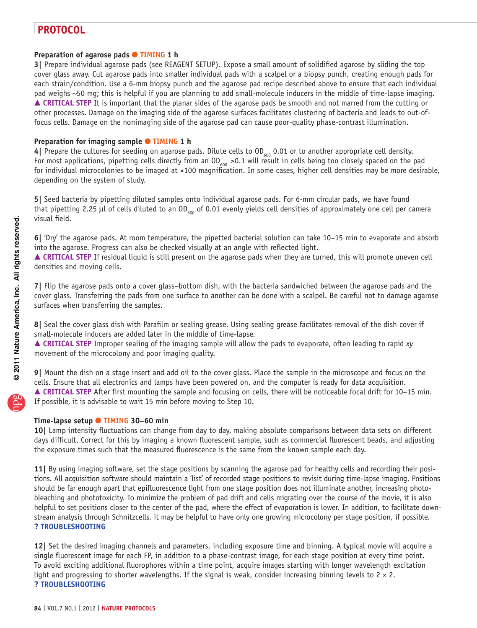### **Preparation of agarose pads ● TIMING 1 h**

**3|** Prepare individual agarose pads (see REAGENT SETUP). Expose a small amount of solidified agarose by sliding the top cover glass away. Cut agarose pads into smaller individual pads with a scalpel or a biopsy punch, creating enough pads for each strain/condition. Use a 6-mm biopsy punch and the agarose pad recipe described above to ensure that each individual pad weighs ~50 mg; this is helpful if you are planning to add small-molecule inducers in the middle of time-lapse imaging. ■ CRITICAL STEP It is important that the planar sides of the agarose pads be smooth and not marred from the cutting or other processes. Damage on the imaging side of the agarose surfaces facilitates clustering of bacteria and leads to out-offocus cells. Damage on the nonimaging side of the agarose pad can cause poor-quality phase-contrast illumination.

### **Preparation for imaging sample ● TIMING 1 h**

4| Prepare the cultures for seeding on agarose pads. Dilute cells to OD<sub>600</sub> 0.01 or to another appropriate cell density. For most applications, pipetting cells directly from an  $OD_{600} > 0.1$  will result in cells being too closely spaced on the pad for individual microcolonies to be imaged at ×100 magnification. In some cases, higher cell densities may be more desirable, depending on the system of study.

**5|** Seed bacteria by pipetting diluted samples onto individual agarose pads. For 6-mm circular pads, we have found that pipetting 2.25 µl of cells diluted to an  $OD_{600}$  of 0.01 evenly yields cell densities of approximately one cell per camera visual field.

**6|** 'Dry' the agarose pads. At room temperature, the pipetted bacterial solution can take 10–15 min to evaporate and absorb into the agarose. Progress can also be checked visually at an angle with reflected light.

 **CRITICAL STEP** If residual liquid is still present on the agarose pads when they are turned, this will promote uneven cell densities and moving cells.

**7|** Flip the agarose pads onto a cover glass–bottom dish, with the bacteria sandwiched between the agarose pads and the cover glass. Transferring the pads from one surface to another can be done with a scalpel. Be careful not to damage agarose surfaces when transferring the samples.

**8|** Seal the cover glass dish with Parafilm or sealing grease. Using sealing grease facilitates removal of the dish cover if small-molecule inducers are added later in the middle of time-lapse.

 **CRITICAL STEP** Improper sealing of the imaging sample will allow the pads to evaporate, often leading to rapid *xy* movement of the microcolony and poor imaging quality.

**9|** Mount the dish on a stage insert and add oil to the cover glass. Place the sample in the microscope and focus on the cells. Ensure that all electronics and lamps have been powered on, and the computer is ready for data acquisition. **CRITICAL STEP** After first mounting the sample and focusing on cells, there will be noticeable focal drift for 10–15 min. If possible, it is advisable to wait 15 min before moving to Step 10.

#### **Time-lapse setup** ● **TIMING 30–60 min**

**10|** Lamp intensity fluctuations can change from day to day, making absolute comparisons between data sets on different days difficult. Correct for this by imaging a known fluorescent sample, such as commercial fluorescent beads, and adjusting the exposure times such that the measured fluorescence is the same from the known sample each day.

**11|** By using imaging software, set the stage positions by scanning the agarose pad for healthy cells and recording their positions. All acquisition software should maintain a 'list' of recorded stage positions to revisit during time-lapse imaging. Positions should be far enough apart that epifluorescence light from one stage position does not illuminate another, increasing photobleaching and phototoxicity. To minimize the problem of pad drift and cells migrating over the course of the movie, it is also helpful to set positions closer to the center of the pad, where the effect of evaporation is lower. In addition, to facilitate downstream analysis through Schnitzcells, it may be helpful to have only one growing microcolony per stage position, if possible. ? **TROUBLESHOOTING**

**12|** Set the desired imaging channels and parameters, including exposure time and binning. A typical movie will acquire a single fluorescent image for each FP, in addition to a phase-contrast image, for each stage position at every time point. To avoid exciting additional fluorophores within a time point, acquire images starting with longer wavelength excitation light and progressing to shorter wavelengths. If the signal is weak, consider increasing binning levels to  $2 \times 2$ . ? **TROUBLESHOOTING**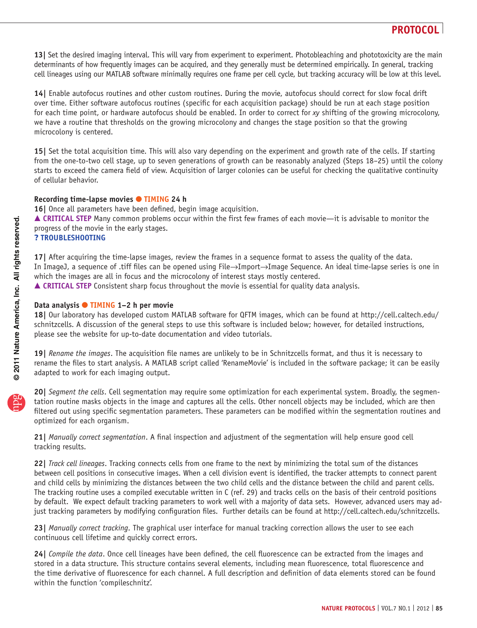**13|** Set the desired imaging interval. This will vary from experiment to experiment. Photobleaching and phototoxicity are the main determinants of how frequently images can be acquired, and they generally must be determined empirically. In general, tracking cell lineages using our MATLAB software minimally requires one frame per cell cycle, but tracking accuracy will be low at this level.

**14|** Enable autofocus routines and other custom routines. During the movie, autofocus should correct for slow focal drift over time. Either software autofocus routines (specific for each acquisition package) should be run at each stage position for each time point, or hardware autofocus should be enabled. In order to correct for *xy* shifting of the growing microcolony, we have a routine that thresholds on the growing microcolony and changes the stage position so that the growing microcolony is centered.

**15|** Set the total acquisition time. This will also vary depending on the experiment and growth rate of the cells. If starting from the one-to-two cell stage, up to seven generations of growth can be reasonably analyzed (Steps 18–25) until the colony starts to exceed the camera field of view. Acquisition of larger colonies can be useful for checking the qualitative continuity of cellular behavior.

### **Recording time-lapse movies** ● **TIMING 24 h**

**16|** Once all parameters have been defined, begin image acquisition. **CRITICAL STEP** Many common problems occur within the first few frames of each movie—it is advisable to monitor the progress of the movie in the early stages. ? **TROUBLESHOOTING**

**17|** After acquiring the time-lapse images, review the frames in a sequence format to assess the quality of the data. In ImageJ, a sequence of .tiff files can be opened using File→Import→Image Sequence. An ideal time-lapse series is one in which the images are all in focus and the microcolony of interest stays mostly centered.

■ CRITICAL STEP Consistent sharp focus throughout the movie is essential for quality data analysis.

### **Data analysis ● TIMING 1-2 h per movie**

**18|** Our laboratory has developed custom MATLAB software for QFTM images, which can be found at http://cell.caltech.edu/ schnitzcells. A discussion of the general steps to use this software is included below; however, for detailed instructions, please see the website for up-to-date documentation and video tutorials.

**19|** *Rename the images*. The acquisition file names are unlikely to be in Schnitzcells format, and thus it is necessary to rename the files to start analysis. A MATLAB script called 'RenameMovie' is included in the software package; it can be easily adapted to work for each imaging output.

**20|** *Segment the cells*. Cell segmentation may require some optimization for each experimental system. Broadly, the segmentation routine masks objects in the image and captures all the cells. Other noncell objects may be included, which are then filtered out using specific segmentation parameters. These parameters can be modified within the segmentation routines and optimized for each organism.

**21|** *Manually correct segmentation*. A final inspection and adjustment of the segmentation will help ensure good cell tracking results.

**22|** *Track cell lineages*. Tracking connects cells from one frame to the next by minimizing the total sum of the distances between cell positions in consecutive images. When a cell division event is identified, the tracker attempts to connect parent and child cells by minimizing the distances between the two child cells and the distance between the child and parent cells. The tracking routine uses a compiled executable written in C (ref. 29) and tracks cells on the basis of their centroid positions by default. We expect default tracking parameters to work well with a majority of data sets. However, advanced users may adjust tracking parameters by modifying configuration files. Further details can be found at http://cell.caltech.edu/schnitzcells.

**23|** *Manually correct tracking*. The graphical user interface for manual tracking correction allows the user to see each continuous cell lifetime and quickly correct errors.

**24|** *Compile the data*. Once cell lineages have been defined, the cell fluorescence can be extracted from the images and stored in a data structure. This structure contains several elements, including mean fluorescence, total fluorescence and the time derivative of fluorescence for each channel. A full description and definition of data elements stored can be found within the function 'compileschnitz'.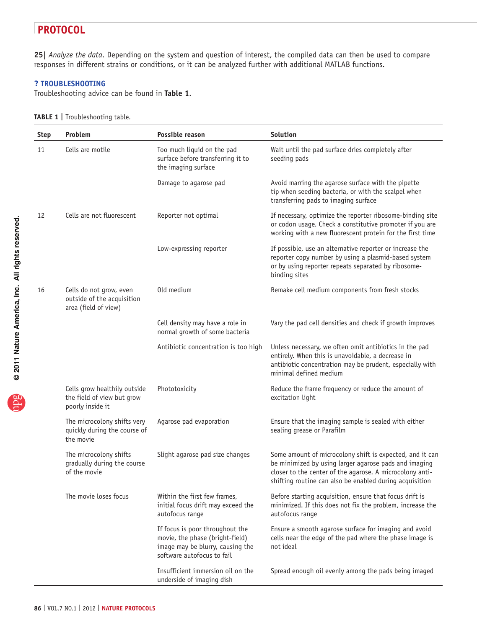**25|** *Analyze the data*. Depending on the system and question of interest, the compiled data can then be used to compare responses in different strains or conditions, or it can be analyzed further with additional MATLAB functions.

### ? **TROUBLESHOOTING**

Troubleshooting advice can be found in **[Table 1](#page-6-0)**.

<span id="page-6-0"></span>

|  |  | TABLE 1   Troubleshooting table. |  |
|--|--|----------------------------------|--|
|--|--|----------------------------------|--|

| <b>Step</b> | Problem                                                                        | Possible reason                                                                                                                      | Solution                                                                                                                                                                                                                                 |
|-------------|--------------------------------------------------------------------------------|--------------------------------------------------------------------------------------------------------------------------------------|------------------------------------------------------------------------------------------------------------------------------------------------------------------------------------------------------------------------------------------|
| 11          | Cells are motile                                                               | Too much liquid on the pad<br>surface before transferring it to<br>the imaging surface                                               | Wait until the pad surface dries completely after<br>seeding pads                                                                                                                                                                        |
|             |                                                                                | Damage to agarose pad                                                                                                                | Avoid marring the agarose surface with the pipette<br>tip when seeding bacteria, or with the scalpel when<br>transferring pads to imaging surface                                                                                        |
| 12          | Cells are not fluorescent                                                      | Reporter not optimal                                                                                                                 | If necessary, optimize the reporter ribosome-binding site<br>or codon usage. Check a constitutive promoter if you are<br>working with a new fluorescent protein for the first time                                                       |
|             |                                                                                | Low-expressing reporter                                                                                                              | If possible, use an alternative reporter or increase the<br>reporter copy number by using a plasmid-based system<br>or by using reporter repeats separated by ribosome-<br>binding sites                                                 |
| 16          | Cells do not grow, even<br>outside of the acquisition<br>area (field of view)  | Old medium                                                                                                                           | Remake cell medium components from fresh stocks                                                                                                                                                                                          |
|             |                                                                                | Cell density may have a role in<br>normal growth of some bacteria                                                                    | Vary the pad cell densities and check if growth improves                                                                                                                                                                                 |
|             |                                                                                | Antibiotic concentration is too high                                                                                                 | Unless necessary, we often omit antibiotics in the pad<br>entirely. When this is unavoidable, a decrease in<br>antibiotic concentration may be prudent, especially with<br>minimal defined medium                                        |
|             | Cells grow healthily outside<br>the field of view but grow<br>poorly inside it | Phototoxicity                                                                                                                        | Reduce the frame frequency or reduce the amount of<br>excitation light                                                                                                                                                                   |
|             | The microcolony shifts very<br>quickly during the course of<br>the movie       | Agarose pad evaporation                                                                                                              | Ensure that the imaging sample is sealed with either<br>sealing grease or Parafilm                                                                                                                                                       |
|             | The microcolony shifts<br>gradually during the course<br>of the movie          | Slight agarose pad size changes                                                                                                      | Some amount of microcolony shift is expected, and it can<br>be minimized by using larger agarose pads and imaging<br>closer to the center of the agarose. A microcolony anti-<br>shifting routine can also be enabled during acquisition |
|             | The movie loses focus                                                          | Within the first few frames,<br>initial focus drift may exceed the<br>autofocus range                                                | Before starting acquisition, ensure that focus drift is<br>minimized. If this does not fix the problem, increase the<br>autofocus range                                                                                                  |
|             |                                                                                | If focus is poor throughout the<br>movie, the phase (bright-field)<br>image may be blurry, causing the<br>software autofocus to fail | Ensure a smooth agarose surface for imaging and avoid<br>cells near the edge of the pad where the phase image is<br>not ideal                                                                                                            |
|             |                                                                                | Insufficient immersion oil on the<br>underside of imaging dish                                                                       | Spread enough oil evenly among the pads being imaged                                                                                                                                                                                     |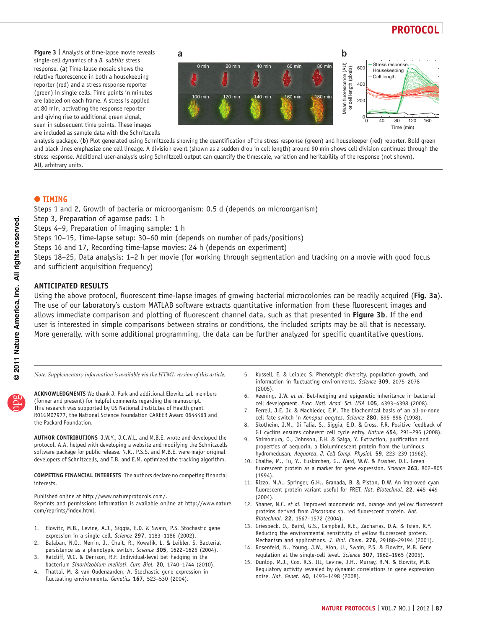<span id="page-7-10"></span>**Figure 3 |** Analysis of time-lapse movie reveals single-cell dynamics of a *B. subtilis* stress response. (**a**) Time-lapse mosaic shows the relative fluorescence in both a housekeeping reporter (red) and a stress response reporter (green) in single cells. Time points in minutes are labeled on each frame. A stress is applied at 80 min, activating the response reporter and giving rise to additional green signal, seen in subsequent time points. These images are included as sample data with the Schnitzcells



analysis package. (**b**) Plot generated using Schnitzcells showing the quantification of the stress response (green) and housekeeper (red) reporter. Bold green and black lines emphasize one cell lineage. A division event (shown as a sudden drop in cell length) around 90 min shows cell division continues through the stress response. Additional user-analysis using Schnitzcell output can quantify the timescale, variation and heritability of the response (not shown). AU, arbitrary units.

#### ● **TIMING**

Steps 1 and 2, Growth of bacteria or microorganism: 0.5 d (depends on microorganism) Step 3, Preparation of agarose pads: 1 h Steps 4–9, Preparation of imaging sample: 1 h Steps 10–15, Time-lapse setup: 30–60 min (depends on number of pads/positions) Steps 16 and 17, Recording time-lapse movies: 24 h (depends on experiment) Steps 18–25, Data analysis: 1–2 h per movie (for working through segmentation and tracking on a movie with good focus and sufficient acquisition frequency)

#### **ANTICIPATED RESULTS**

Using the above protocol, fluorescent time-lapse images of growing bacterial microcolonies can be readily acquired (**[Fig. 3a](#page-7-10)**). The use of our laboratory's custom MATLAB software extracts quantitative information from these fluorescent images and allows immediate comparison and plotting of fluorescent channel data, such as that presented in **[Figure 3b](#page-7-10)**. If the end user is interested in simple comparisons between strains or conditions, the included scripts may be all that is necessary. More generally, with some additional programming, the data can be further analyzed for specific quantitative questions.

*Note: Supplementary information is available via the HTML version of this article.*

**Acknowledgments** We thank J. Park and additional Elowitz Lab members (former and present) for helpful comments regarding the manuscript. This research was supported by US National Institutes of Health grant R01GM07977, the National Science Foundation CAREER Award 0644463 and the Packard Foundation.

**AUTHOR CONTRIBUTIONS** J.W.Y., J.C.W.L. and M.B.E. wrote and developed the protocol. A.A. helped with developing a website and modifying the Schnitzcells software package for public release. N.R., P.S.S. and M.B.E. were major original developers of Schnitzcells, and T.B. and E.M. optimized the tracking algorithm.

**COMPETING FINANCIAL INTERESTS** The authors declare no competing financial interests.

Published online at http://www.natureprotocols.com/. Reprints and permissions information is available online at http://www.nature. com/reprints/index.html.

- <span id="page-7-0"></span>1. Elowitz, M.B., Levine, A.J., Siggia, E.D. & Swain, P.S. Stochastic gene expression in a single cell. *Science* **297**, 1183–1186 (2002).
- <span id="page-7-1"></span>2. Balaban, N.Q., Merrin, J., Chait, R., Kowalik, L. & Leibler, S. Bacterial persistence as a phenotypic switch. *Science* **305**, 1622–1625 (2004).
- 3. Ratcliff, W.C. & Denison, R.F. Individual-level bet hedging in the bacterium *Sinorhizobium meliloti*. *Curr. Biol.* **20**, 1740–1744 (2010).
- <span id="page-7-2"></span>4. Thattai, M. & van Oudenaarden, A. Stochastic gene expression in fluctuating environments. *Genetics* **167**, 523–530 (2004).
- 5. Kussell, E. & Leibler, S. Phenotypic diversity, population growth, and information in fluctuating environments. *Science* **309**, 2075–2078 (2005).
- <span id="page-7-9"></span><span id="page-7-8"></span>6. Veening, J.W. *et al.* Bet-hedging and epigenetic inheritance in bacterial cell development. *Proc. Natl. Acad. Sci. USA* **105**, 4393–4398 (2008).
- <span id="page-7-3"></span>7. Ferrell, J.E. Jr. & Machleder, E.M. The biochemical basis of an all-or-none cell fate switch in *Xenopus oocytes*. *Science* **280**, 895–898 (1998).
- 8. Skotheim, J.M., Di Talia, S., Siggia, E.D. & Cross, F.R. Positive feedback of G1 cyclins ensures coherent cell cycle entry. *Nature* **454**, 291–296 (2008).
- <span id="page-7-4"></span>9. Shimomura, O., Johnson, F.H. & Saiga, Y. Extraction, purification and properties of aequorin, a bioluminescent protein from the luminous hydromedusan, *Aequorea*. *J. Cell Comp. Physiol.* **59**, 223–239 (1962).
- 10. Chalfie, M., Tu, Y., Euskirchen, G., Ward, W.W. & Prasher, D.C. Green fluorescent protein as a marker for gene expression. *Science* **263**, 802–805 (1994).
- <span id="page-7-5"></span>11. Rizzo, M.A., Springer, G.H., Granada, B. & Piston, D.W. An improved cyan fluorescent protein variant useful for FRET. *Nat. Biotechnol.* **22**, 445–449 (2004).
- 12. Shaner, N.C. *et al.* Improved monomeric red, orange and yellow fluorescent proteins derived from *Discosoma* sp. red fluorescent protein. *Nat. Biotechnol.* **22**, 1567–1572 (2004).
- 13. Griesbeck, O., Baird, G.S., Campbell, R.E., Zacharias, D.A. & Tsien, R.Y. Reducing the environmental sensitivity of yellow fluorescent protein. Mechanism and applications. *J. Biol. Chem.* **276**, 29188–29194 (2001).
- <span id="page-7-6"></span>14. Rosenfeld, N., Young, J.W., Alon, U., Swain, P.S. & Elowitz, M.B. Gene regulation at the single-cell level. *Science* **307**, 1962–1965 (2005).
- <span id="page-7-7"></span>15. Dunlop, M.J., Cox, R.S. III, Levine, J.H., Murray, R.M. & Elowitz, M.B. Regulatory activity revealed by dynamic correlations in gene expression noise. *Nat. Genet.* **40**, 1493–1498 (2008).